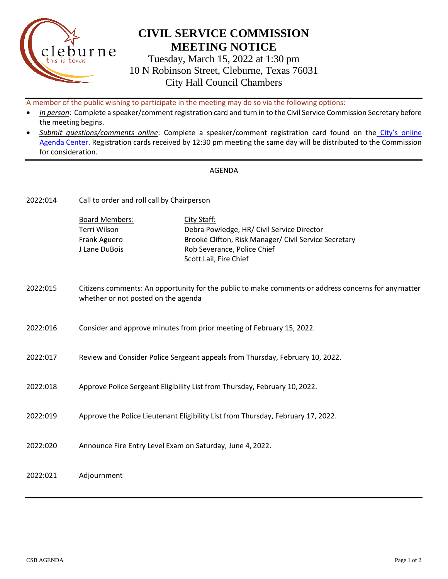

## **CIVIL SERVICE COMMISSION MEETING NOTICE**

Tuesday, March 15, 2022 at 1:30 pm 10 N Robinson Street, Cleburne, Texas 76031 City Hall Council Chambers

A member of the public wishing to participate in the meeting may do so via the following options:

- *In person*: Complete a speaker/comment registration card and turn in to the Civil Service Commission Secretary before the meeting begins.
- *Submit questions/comments online*: Complete a speaker/comment registration card found on the [City's online](https://www.cleburne.net/agendacenter) [Agenda Center.](https://www.cleburne.net/agendacenter) Registration cards received by 12:30 pm meeting the same day will be distributed to the Commission for consideration.

## AGENDA

| 2022:014 | Call to order and roll call by Chairperson                                                                                                  |                                                                                                                                                                             |
|----------|---------------------------------------------------------------------------------------------------------------------------------------------|-----------------------------------------------------------------------------------------------------------------------------------------------------------------------------|
|          | <b>Board Members:</b><br>Terri Wilson<br>Frank Aguero<br>J Lane DuBois                                                                      | City Staff:<br>Debra Powledge, HR/ Civil Service Director<br>Brooke Clifton, Risk Manager/ Civil Service Secretary<br>Rob Severance, Police Chief<br>Scott Lail, Fire Chief |
| 2022:015 | Citizens comments: An opportunity for the public to make comments or address concerns for any matter<br>whether or not posted on the agenda |                                                                                                                                                                             |
| 2022:016 | Consider and approve minutes from prior meeting of February 15, 2022.                                                                       |                                                                                                                                                                             |
| 2022:017 | Review and Consider Police Sergeant appeals from Thursday, February 10, 2022.                                                               |                                                                                                                                                                             |
| 2022:018 | Approve Police Sergeant Eligibility List from Thursday, February 10, 2022.                                                                  |                                                                                                                                                                             |
| 2022:019 | Approve the Police Lieutenant Eligibility List from Thursday, February 17, 2022.                                                            |                                                                                                                                                                             |
| 2022:020 | Announce Fire Entry Level Exam on Saturday, June 4, 2022.                                                                                   |                                                                                                                                                                             |
| 2022:021 | Adjournment                                                                                                                                 |                                                                                                                                                                             |